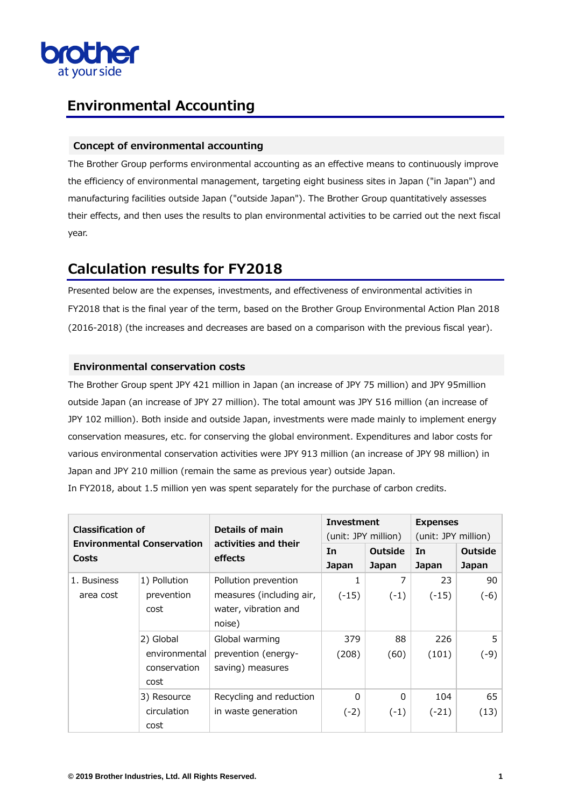

# **Environmental Accounting**

## **Concept of environmental accounting**

The Brother Group performs environmental accounting as an effective means to continuously improve the efficiency of environmental management, targeting eight business sites in Japan ("in Japan") and manufacturing facilities outside Japan ("outside Japan"). The Brother Group quantitatively assesses their effects, and then uses the results to plan environmental activities to be carried out the next fiscal year.

## **Calculation results for FY2018**

Presented below are the expenses, investments, and effectiveness of environmental activities in FY2018 that is the final year of the term, based on the Brother Group Environmental Action Plan 2018 (2016-2018) (the increases and decreases are based on a comparison with the previous fiscal year).

#### **Environmental conservation costs**

The Brother Group spent JPY 421 million in Japan (an increase of JPY 75 million) and JPY 95million outside Japan (an increase of JPY 27 million). The total amount was JPY 516 million (an increase of JPY 102 million). Both inside and outside Japan, investments were made mainly to implement energy conservation measures, etc. for conserving the global environment. Expenditures and labor costs for various environmental conservation activities were JPY 913 million (an increase of JPY 98 million) in Japan and JPY 210 million (remain the same as previous year) outside Japan.

In FY2018, about 1.5 million yen was spent separately for the purchase of carbon credits.

| <b>Classification of</b> |                                   |                                         | <b>Investment</b>   |                | <b>Expenses</b>     |                |  |  |  |
|--------------------------|-----------------------------------|-----------------------------------------|---------------------|----------------|---------------------|----------------|--|--|--|
|                          | <b>Environmental Conservation</b> | Details of main<br>activities and their | (unit: JPY million) |                | (unit: JPY million) |                |  |  |  |
| Costs                    |                                   | effects                                 | In                  | <b>Outside</b> | In                  | <b>Outside</b> |  |  |  |
|                          |                                   |                                         | <b>Japan</b>        | <b>Japan</b>   | Japan               | <b>Japan</b>   |  |  |  |
| 1. Business              | 1) Pollution                      | Pollution prevention                    |                     | 7              | 23                  | 90             |  |  |  |
| area cost                | prevention                        | measures (including air,                | $(-15)$             | $(-1)$         | $(-15)$             | $(-6)$         |  |  |  |
|                          | cost                              | water, vibration and                    |                     |                |                     |                |  |  |  |
|                          |                                   | noise)                                  |                     |                |                     |                |  |  |  |
|                          | 2) Global                         | Global warming                          | 379                 | 88             | 226                 | 5              |  |  |  |
|                          | environmental                     | prevention (energy-                     | (208)               | (60)           | (101)               | $(-9)$         |  |  |  |
|                          | conservation                      | saving) measures                        |                     |                |                     |                |  |  |  |
|                          | cost                              |                                         |                     |                |                     |                |  |  |  |
|                          | 3) Resource                       | Recycling and reduction                 | 0                   | $\Omega$       | 104                 | 65             |  |  |  |
|                          | circulation                       | in waste generation                     | $(-2)$              | $(-1)$         | $(-21)$             | (13)           |  |  |  |
|                          | cost                              |                                         |                     |                |                     |                |  |  |  |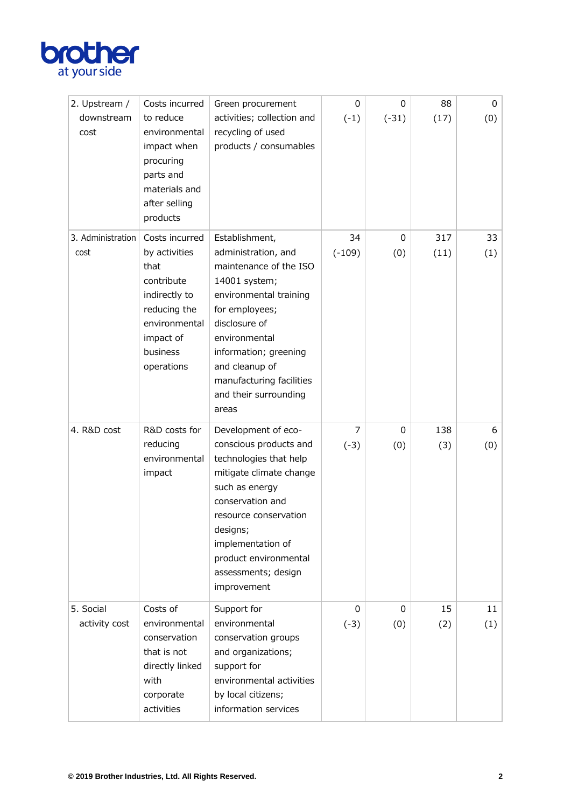

| 2. Upstream /<br>downstream<br>cost | Costs incurred<br>to reduce<br>environmental<br>impact when<br>procuring<br>parts and<br>materials and<br>after selling<br>products            | Green procurement<br>activities; collection and<br>recycling of used<br>products / consumables                                                                                                                                                                          | 0<br>$(-1)$    | $\Omega$<br>$(-31)$ | 88<br>(17)  | 0<br>(0)  |
|-------------------------------------|------------------------------------------------------------------------------------------------------------------------------------------------|-------------------------------------------------------------------------------------------------------------------------------------------------------------------------------------------------------------------------------------------------------------------------|----------------|---------------------|-------------|-----------|
| 3. Administration<br>cost           | Costs incurred<br>by activities<br>that<br>contribute<br>indirectly to<br>reducing the<br>environmental<br>impact of<br>business<br>operations | Establishment,<br>administration, and<br>maintenance of the ISO<br>14001 system;<br>environmental training<br>for employees;<br>disclosure of<br>environmental<br>information; greening<br>and cleanup of<br>manufacturing facilities<br>and their surrounding<br>areas | 34<br>$(-109)$ | 0<br>(0)            | 317<br>(11) | 33<br>(1) |
| 4. R&D cost                         | R&D costs for<br>reducing<br>environmental<br>impact                                                                                           | Development of eco-<br>conscious products and<br>technologies that help<br>mitigate climate change<br>such as energy<br>conservation and<br>resource conservation<br>designs;<br>implementation of<br>product environmental<br>assessments; design<br>improvement       | 7<br>$(-3)$    | 0<br>(0)            | 138<br>(3)  | 6<br>(0)  |
| 5. Social<br>activity cost          | Costs of<br>environmental<br>conservation<br>that is not<br>directly linked<br>with<br>corporate<br>activities                                 | Support for<br>environmental<br>conservation groups<br>and organizations;<br>support for<br>environmental activities<br>by local citizens;<br>information services                                                                                                      | 0<br>$(-3)$    | 0<br>(0)            | 15<br>(2)   | 11<br>(1) |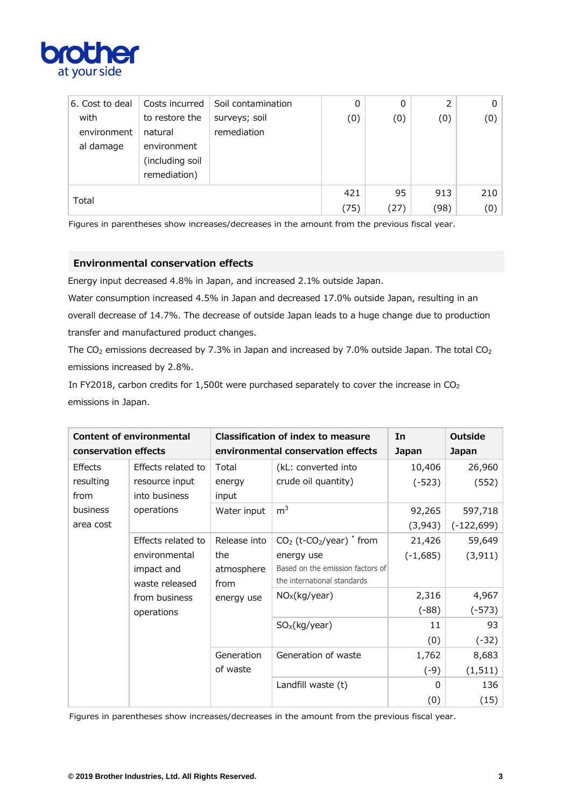

| 6. Cost to deal | Costs incurred  | Soil contamination | 0   | 0    |      | 0   |
|-----------------|-----------------|--------------------|-----|------|------|-----|
| with            | to restore the  | surveys; soil      | (0) | (0)  | (0)  | (0) |
| environment     | natural         | remediation        |     |      |      |     |
| al damage       | environment     |                    |     |      |      |     |
|                 | (including soil |                    |     |      |      |     |
|                 | remediation)    |                    |     |      |      |     |
|                 |                 | 421                | 95  | 913  | 210  |     |
| Total           |                 |                    |     | (27) | (98) | (0) |

Figures in parentheses show increases/decreases in the amount from the previous fiscal year.

#### **Environmental conservation effects**

Energy input decreased 4.8% in Japan, and increased 2.1% outside Japan.

Water consumption increased 4.5% in Japan and decreased 17.0% outside Japan, resulting in an overall decrease of 14.7%. The decrease of outside Japan leads to a huge change due to production transfer and manufactured product changes.

The  $CO<sub>2</sub>$  emissions decreased by 7.3% in Japan and increased by 7.0% outside Japan. The total  $CO<sub>2</sub>$ emissions increased by 2.8%.

In FY2018, carbon credits for 1,500t were purchased separately to cover the increase in  $CO<sub>2</sub>$ emissions in Japan.

| conservation effects | <b>Content of environmental</b> |              | <b>Classification of index to measure</b><br>environmental conservation effects | In<br><b>Japan</b> | <b>Outside</b><br><b>Japan</b> |
|----------------------|---------------------------------|--------------|---------------------------------------------------------------------------------|--------------------|--------------------------------|
| <b>Effects</b>       | Effects related to              | Total        | (kL: converted into                                                             | 10,406             | 26,960                         |
| resulting            | resource input                  | energy       | crude oil quantity)                                                             | $(-523)$           | (552)                          |
| from                 | into business                   | input        |                                                                                 |                    |                                |
| business             | operations                      | Water input  | m <sup>3</sup>                                                                  | 92,265             | 597,718                        |
| area cost            |                                 |              |                                                                                 | (3,943)            | $(-122, 699)$                  |
|                      | Effects related to              | Release into | $CO2$ (t-CO <sub>2</sub> /year) * from                                          | 21,426             | 59,649                         |
|                      | environmental                   | the          | energy use                                                                      | $(-1,685)$         | (3, 911)                       |
|                      | impact and                      | atmosphere   | Based on the emission factors of                                                |                    |                                |
|                      | waste released                  | from         | the international standards                                                     |                    |                                |
|                      | from business                   | energy use   | NO <sub>x</sub> (kg/year)                                                       | 2,316              | 4,967                          |
|                      | operations                      |              |                                                                                 | $(-88)$            | $(-573)$                       |
|                      |                                 |              | SO <sub>x</sub> (kg/year)                                                       | 11                 | 93                             |
|                      |                                 |              |                                                                                 | (0)                | $(-32)$                        |
|                      |                                 | Generation   | Generation of waste                                                             | 1,762              | 8,683                          |
|                      |                                 | of waste     |                                                                                 | $(-9)$             | (1, 511)                       |
|                      |                                 |              | Landfill waste (t)                                                              | $\Omega$           | 136                            |
|                      |                                 |              |                                                                                 | (0)                | (15)                           |

Figures in parentheses show increases/decreases in the amount from the previous fiscal year.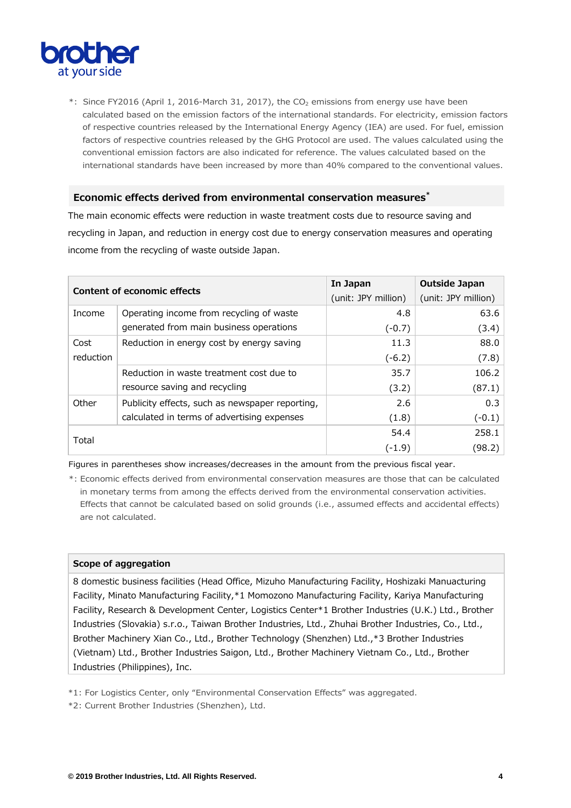

\*: Since FY2016 (April 1, 2016-March 31, 2017), the CO<sub>2</sub> emissions from energy use have been calculated based on the emission factors of the international standards. For electricity, emission factors of respective countries released by the International Energy Agency (IEA) are used. For fuel, emission factors of respective countries released by the GHG Protocol are used. The values calculated using the conventional emission factors are also indicated for reference. The values calculated based on the international standards have been increased by more than 40% compared to the conventional values.

## **Economic effects derived from environmental conservation measures\***

The main economic effects were reduction in waste treatment costs due to resource saving and recycling in Japan, and reduction in energy cost due to energy conservation measures and operating income from the recycling of waste outside Japan.

|           | <b>Content of economic effects</b>              | In Japan            | <b>Outside Japan</b> |
|-----------|-------------------------------------------------|---------------------|----------------------|
|           |                                                 | (unit: JPY million) | (unit: JPY million)  |
| Income    | Operating income from recycling of waste        | 4.8                 | 63.6                 |
|           | generated from main business operations         | $(-0.7)$            | (3.4)                |
| Cost      | Reduction in energy cost by energy saving       | 11.3                | 88.0                 |
| reduction |                                                 | $(-6.2)$            | (7.8)                |
|           | Reduction in waste treatment cost due to        | 35.7                | 106.2                |
|           | resource saving and recycling                   | (3.2)               | (87.1)               |
| Other     | Publicity effects, such as newspaper reporting, | 2.6                 | 0.3                  |
|           | calculated in terms of advertising expenses     | (1.8)               | (-0.1)               |
| Total     |                                                 | 54.4                | 258.1                |
|           |                                                 | (-1.9)              | (98.2)               |

Figures in parentheses show increases/decreases in the amount from the previous fiscal year.

\*: Economic effects derived from environmental conservation measures are those that can be calculated in monetary terms from among the effects derived from the environmental conservation activities. Effects that cannot be calculated based on solid grounds (i.e., assumed effects and accidental effects) are not calculated.

#### **Scope of aggregation**

8 domestic business facilities (Head Office, Mizuho Manufacturing Facility, Hoshizaki Manuacturing Facility, Minato Manufacturing Facility,\*1 Momozono Manufacturing Facility, Kariya Manufacturing Facility, Research & Development Center, Logistics Center\*1 Brother Industries (U.K.) Ltd., Brother Industries (Slovakia) s.r.o., Taiwan Brother Industries, Ltd., Zhuhai Brother Industries, Co., Ltd., Brother Machinery Xian Co., Ltd., Brother Technology (Shenzhen) Ltd.,\*3 Brother Industries (Vietnam) Ltd., Brother Industries Saigon, Ltd., Brother Machinery Vietnam Co., Ltd., Brother Industries (Philippines), Inc.

\*1: For Logistics Center, only "Environmental Conservation Effects" was aggregated.

\*2: Current Brother Industries (Shenzhen), Ltd.